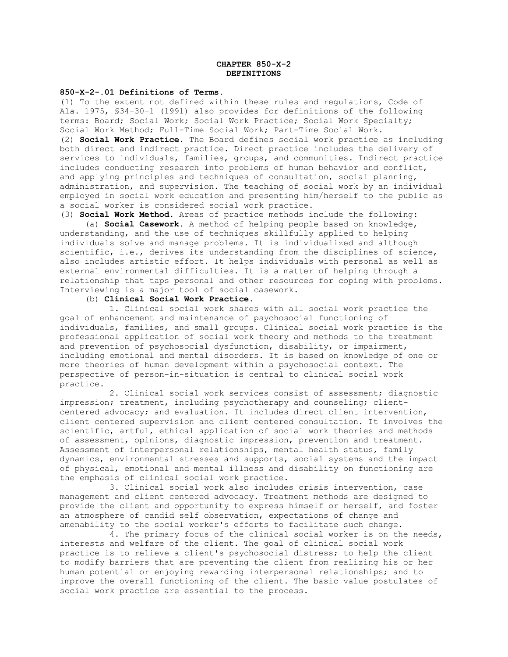# **CHAPTER 850-X-2 DEFINITIONS**

#### **850-X-2-.01 Definitions of Terms.**

(1) To the extent not defined within these rules and regulations, Code of Ala. 1975, §34-30-1 (1991) also provides for definitions of the following terms: Board; Social Work; Social Work Practice; Social Work Specialty; Social Work Method; Full-Time Social Work; Part-Time Social Work.

(2) **Social Work Practice**. The Board defines social work practice as including both direct and indirect practice. Direct practice includes the delivery of services to individuals, families, groups, and communities. Indirect practice includes conducting research into problems of human behavior and conflict, and applying principles and techniques of consultation, social planning, administration, and supervision. The teaching of social work by an individual employed in social work education and presenting him/herself to the public as a social worker is considered social work practice.

(3) **Social Work Method**. Areas of practice methods include the following:

 (a) **Social Casework**. A method of helping people based on knowledge, understanding, and the use of techniques skillfully applied to helping individuals solve and manage problems. It is individualized and although scientific, i.e., derives its understanding from the disciplines of science, also includes artistic effort. It helps individuals with personal as well as external environmental difficulties. It is a matter of helping through a relationship that taps personal and other resources for coping with problems. Interviewing is a major tool of social casework.

## (b) **Clinical Social Work Practice**.

 1. Clinical social work shares with all social work practice the goal of enhancement and maintenance of psychosocial functioning of individuals, families, and small groups. Clinical social work practice is the professional application of social work theory and methods to the treatment and prevention of psychosocial dysfunction, disability, or impairment, including emotional and mental disorders. It is based on knowledge of one or more theories of human development within a psychosocial context. The perspective of person-in-situation is central to clinical social work practice.

 2. Clinical social work services consist of assessment; diagnostic impression; treatment, including psychotherapy and counseling; clientcentered advocacy; and evaluation. It includes direct client intervention, client centered supervision and client centered consultation. It involves the scientific, artful, ethical application of social work theories and methods of assessment, opinions, diagnostic impression, prevention and treatment. Assessment of interpersonal relationships, mental health status, family dynamics, environmental stresses and supports, social systems and the impact of physical, emotional and mental illness and disability on functioning are the emphasis of clinical social work practice.

 3. Clinical social work also includes crisis intervention, case management and client centered advocacy. Treatment methods are designed to provide the client and opportunity to express himself or herself, and foster an atmosphere of candid self observation, expectations of change and amenability to the social worker's efforts to facilitate such change.

 4. The primary focus of the clinical social worker is on the needs, interests and welfare of the client. The goal of clinical social work practice is to relieve a client's psychosocial distress; to help the client to modify barriers that are preventing the client from realizing his or her human potential or enjoying rewarding interpersonal relationships; and to improve the overall functioning of the client. The basic value postulates of social work practice are essential to the process.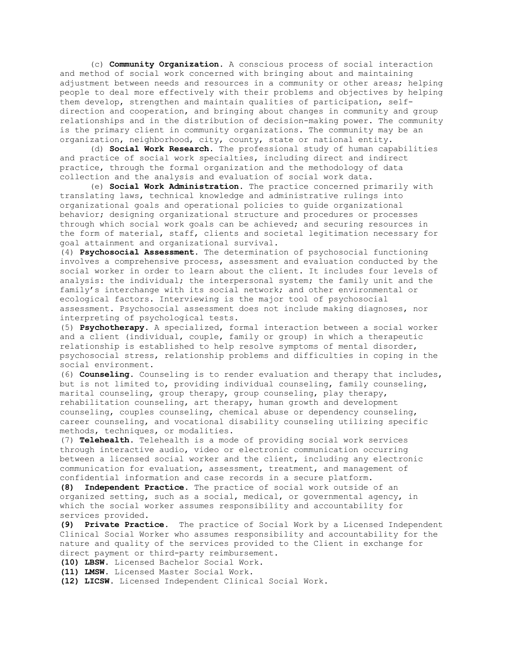(c) **Community Organization**. A conscious process of social interaction and method of social work concerned with bringing about and maintaining adjustment between needs and resources in a community or other areas; helping people to deal more effectively with their problems and objectives by helping them develop, strengthen and maintain qualities of participation, selfdirection and cooperation, and bringing about changes in community and group relationships and in the distribution of decision-making power. The community is the primary client in community organizations. The community may be an organization, neighborhood, city, county, state or national entity.

(d) **Social Work Research**. The professional study of human capabilities and practice of social work specialties, including direct and indirect practice, through the formal organization and the methodology of data collection and the analysis and evaluation of social work data.

(e) **Social Work Administration**. The practice concerned primarily with translating laws, technical knowledge and administrative rulings into organizational goals and operational policies to guide organizational behavior; designing organizational structure and procedures or processes through which social work goals can be achieved; and securing resources in the form of material, staff, clients and societal legitimation necessary for goal attainment and organizational survival.

(4) **Psychosocial Assessment**. The determination of psychosocial functioning involves a comprehensive process, assessment and evaluation conducted by the social worker in order to learn about the client. It includes four levels of analysis: the individual; the interpersonal system; the family unit and the family's interchange with its social network; and other environmental or ecological factors. Interviewing is the major tool of psychosocial assessment. Psychosocial assessment does not include making diagnoses, nor interpreting of psychological tests.

(5) **Psychotherapy**. A specialized, formal interaction between a social worker and a client (individual, couple, family or group) in which a therapeutic relationship is established to help resolve symptoms of mental disorder, psychosocial stress, relationship problems and difficulties in coping in the social environment.

(6) **Counseling.** Counseling is to render evaluation and therapy that includes, but is not limited to, providing individual counseling, family counseling, marital counseling, group therapy, group counseling, play therapy, rehabilitation counseling, art therapy, human growth and development counseling, couples counseling, chemical abuse or dependency counseling, career counseling, and vocational disability counseling utilizing specific methods, techniques, or modalities.

(7) **Telehealth.** Telehealth is a mode of providing social work services through interactive audio, video or electronic communication occurring between a licensed social worker and the client, including any electronic communication for evaluation, assessment, treatment, and management of confidential information and case records in a secure platform.

**(8) Independent Practice.** The practice of social work outside of an organized setting, such as a social, medical, or governmental agency, in which the social worker assumes responsibility and accountability for services provided**.** 

**(9) Private Practice.** The practice of Social Work by a Licensed Independent Clinical Social Worker who assumes responsibility and accountability for the nature and quality of the services provided to the Client in exchange for direct payment or third-party reimbursement.

**(10) LBSW**. Licensed Bachelor Social Work.

**(11) LMSW**. Licensed Master Social Work.

**(12) LICSW.** Licensed Independent Clinical Social Work**.**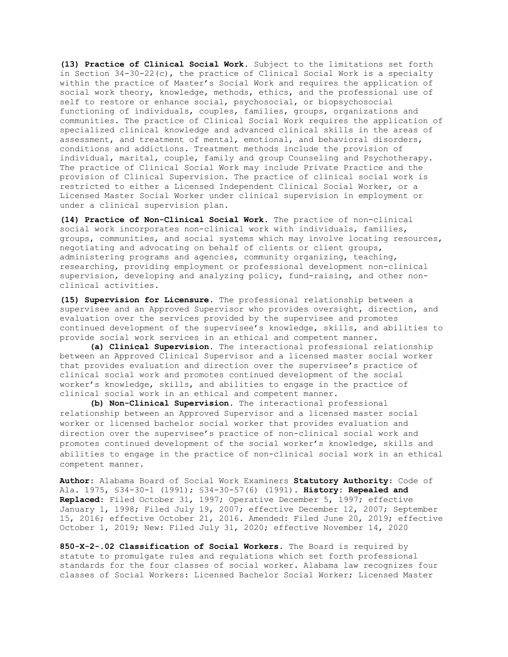**(13) Practice of Clinical Social Work.** Subject to the limitations set forth in Section  $34-30-22(c)$ , the practice of Clinical Social Work is a specialty within the practice of Master's Social Work and requires the application of social work theory, knowledge, methods, ethics, and the professional use of self to restore or enhance social, psychosocial, or biopsychosocial functioning of individuals, couples, families, groups, organizations and communities. The practice of Clinical Social Work requires the application of specialized clinical knowledge and advanced clinical skills in the areas of assessment, and treatment of mental, emotional, and behavioral disorders, conditions and addictions. Treatment methods include the provision of individual, marital, couple, family and group Counseling and Psychotherapy. The practice of Clinical Social Work may include Private Practice and the provision of Clinical Supervision. The practice of clinical social work is restricted to either a Licensed Independent Clinical Social Worker, or a Licensed Master Social Worker under clinical supervision in employment or under a clinical supervision plan.

**(14) Practice of Non-Clinical Social Work**. The practice of non-clinical social work incorporates non-clinical work with individuals, families, groups, communities, and social systems which may involve locating resources, negotiating and advocating on behalf of clients or client groups, administering programs and agencies, community organizing, teaching, researching, providing employment or professional development non-clinical supervision, developing and analyzing policy, fund-raising, and other nonclinical activities.

**(15) Supervision for Licensure.** The professional relationship between a supervisee and an Approved Supervisor who provides oversight, direction, and evaluation over the services provided by the supervisee and promotes continued development of the supervisee's knowledge, skills, and abilities to provide social work services in an ethical and competent manner.

**(a) Clinical Supervision.** The interactional professional relationship between an Approved Clinical Supervisor and a licensed master social worker that provides evaluation and direction over the supervisee's practice of clinical social work and promotes continued development of the social worker's knowledge, skills, and abilities to engage in the practice of clinical social work in an ethical and competent manner.

**(b) Non-Clinical Supervision.** The interactional professional relationship between an Approved Supervisor and a licensed master social worker or licensed bachelor social worker that provides evaluation and direction over the supervisee's practice of non-clinical social work and promotes continued development of the social worker's knowledge, skills and abilities to engage in the practice of non-clinical social work in an ethical competent manner.

**Author**: Alabama Board of Social Work Examiners **Statutory Authority**: Code of Ala. 1975, §34-30-1 (1991); §34-30-57(6) (1991). **History: Repealed and Replaced**: Filed October 31, 1997; Operative December 5, 1997; effective January 1, 1998; Filed July 19, 2007; effective December 12, 2007; September 15, 2016; effective October 21, 2016. Amended: Filed June 20, 2019; effective October 1, 2019; New: Filed July 31, 2020; effective November 14, 2020

**850-X-2-.02 Classification of Social Workers**. The Board is required by statute to promulgate rules and regulations which set forth professional standards for the four classes of social worker. Alabama law recognizes four classes of Social Workers: Licensed Bachelor Social Worker; Licensed Master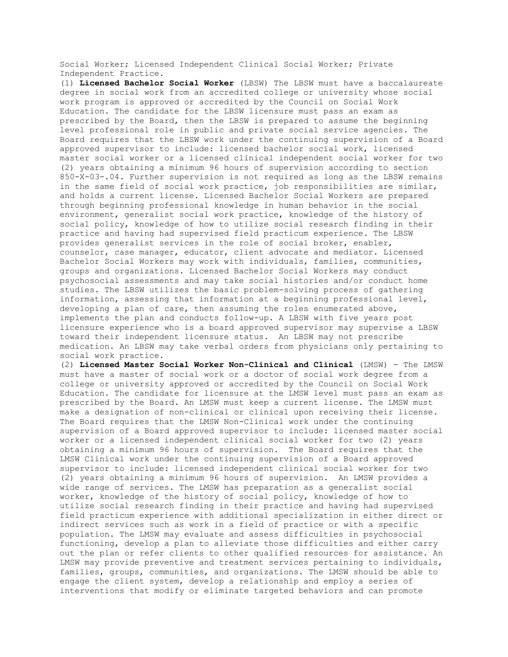Social Worker; Licensed Independent Clinical Social Worker; Private Independent Practice.

(1) **Licensed Bachelor Social Worker** (LBSW) The LBSW must have a baccalaureate degree in social work from an accredited college or university whose social work program is approved or accredited by the Council on Social Work Education. The candidate for the LBSW licensure must pass an exam as prescribed by the Board, then the LBSW is prepared to assume the beginning level professional role in public and private social service agencies. The Board requires that the LBSW work under the continuing supervision of a Board approved supervisor to include: licensed bachelor social work, licensed master social worker or a licensed clinical independent social worker for two (2) years obtaining a minimum 96 hours of supervision according to section 850-X-03-.04. Further supervision is not required as long as the LBSW remains in the same field of social work practice, job responsibilities are similar, and holds a current license. Licensed Bachelor Social Workers are prepared through beginning professional knowledge in human behavior in the social environment, generalist social work practice, knowledge of the history of social policy, knowledge of how to utilize social research finding in their practice and having had supervised field practicum experience. The LBSW provides generalist services in the role of social broker, enabler, counselor, case manager, educator, client advocate and mediator. Licensed Bachelor Social Workers may work with individuals, families, communities, groups and organizations. Licensed Bachelor Social Workers may conduct psychosocial assessments and may take social histories and/or conduct home studies. The LBSW utilizes the basic problem-solving process of gathering information, assessing that information at a beginning professional level, developing a plan of care, then assuming the roles enumerated above, implements the plan and conducts follow-up. A LBSW with five years post licensure experience who is a board approved supervisor may supervise a LBSW toward their independent licensure status. An LBSW may not prescribe medication. An LBSW may take verbal orders from physicians only pertaining to social work practice.

(2) **Licensed Master Social Worker Non-Clinical and Clinical** (LMSW) - The LMSW must have a master of social work or a doctor of social work degree from a college or university approved or accredited by the Council on Social Work Education. The candidate for licensure at the LMSW level must pass an exam as prescribed by the Board. An LMSW must keep a current license. The LMSW must make a designation of non-clinical or clinical upon receiving their license. The Board requires that the LMSW Non-Clinical work under the continuing supervision of a Board approved supervisor to include: licensed master social worker or a licensed independent clinical social worker for two (2) years obtaining a minimum 96 hours of supervision. The Board requires that the LMSW Clinical work under the continuing supervision of a Board approved supervisor to include: licensed independent clinical social worker for two (2) years obtaining a minimum 96 hours of supervision. An LMSW provides a wide range of services. The LMSW has preparation as a generalist social worker, knowledge of the history of social policy, knowledge of how to utilize social research finding in their practice and having had supervised field practicum experience with additional specialization in either direct or indirect services such as work in a field of practice or with a specific population. The LMSW may evaluate and assess difficulties in psychosocial functioning, develop a plan to alleviate those difficulties and either carry out the plan or refer clients to other qualified resources for assistance. An LMSW may provide preventive and treatment services pertaining to individuals, families, groups, communities, and organizations. The LMSW should be able to engage the client system, develop a relationship and employ a series of interventions that modify or eliminate targeted behaviors and can promote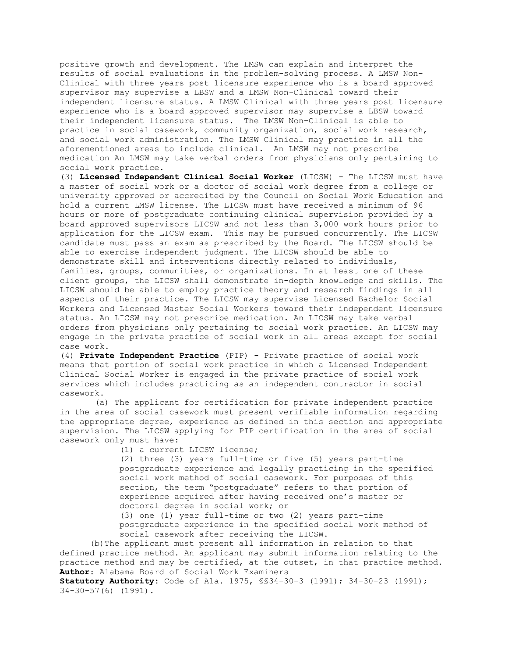positive growth and development. The LMSW can explain and interpret the results of social evaluations in the problem-solving process. A LMSW Non-Clinical with three years post licensure experience who is a board approved supervisor may supervise a LBSW and a LMSW Non-Clinical toward their independent licensure status. A LMSW Clinical with three years post licensure experience who is a board approved supervisor may supervise a LBSW toward their independent licensure status. The LMSW Non-Clinical is able to practice in social casework, community organization, social work research, and social work administration. The LMSW Clinical may practice in all the aforementioned areas to include clinical. An LMSW may not prescribe medication An LMSW may take verbal orders from physicians only pertaining to social work practice.

(3) **Licensed Independent Clinical Social Worker** (LICSW) - The LICSW must have a master of social work or a doctor of social work degree from a college or university approved or accredited by the Council on Social Work Education and hold a current LMSW license. The LICSW must have received a minimum of 96 hours or more of postgraduate continuing clinical supervision provided by a board approved supervisors LICSW and not less than 3,000 work hours prior to application for the LICSW exam. This may be pursued concurrently. The LICSW candidate must pass an exam as prescribed by the Board. The LICSW should be able to exercise independent judgment. The LICSW should be able to demonstrate skill and interventions directly related to individuals, families, groups, communities, or organizations. In at least one of these client groups, the LICSW shall demonstrate in-depth knowledge and skills. The LICSW should be able to employ practice theory and research findings in all aspects of their practice. The LICSW may supervise Licensed Bachelor Social Workers and Licensed Master Social Workers toward their independent licensure status. An LICSW may not prescribe medication. An LICSW may take verbal orders from physicians only pertaining to social work practice. An LICSW may engage in the private practice of social work in all areas except for social case work.

(4) **Private Independent Practice** (PIP) - Private practice of social work means that portion of social work practice in which a Licensed Independent Clinical Social Worker is engaged in the private practice of social work services which includes practicing as an independent contractor in social casework.

(a) The applicant for certification for private independent practice in the area of social casework must present verifiable information regarding the appropriate degree, experience as defined in this section and appropriate supervision. The LICSW applying for PIP certification in the area of social casework only must have:

(1) a current LICSW license;

(2) three (3) years full-time or five (5) years part-time postgraduate experience and legally practicing in the specified social work method of social casework. For purposes of this section, the term "postgraduate" refers to that portion of experience acquired after having received one's master or doctoral degree in social work; or

(3) one (1) year full-time or two (2) years part-time postgraduate experience in the specified social work method of social casework after receiving the LICSW.

(b)The applicant must present all information in relation to that defined practice method. An applicant may submit information relating to the practice method and may be certified, at the outset, in that practice method. **Author**: Alabama Board of Social Work Examiners

**Statutory Authority:** Code of Ala. 1975, §§34-30-3 (1991); 34-30-23 (1991); 34-30-57(6) (1991).